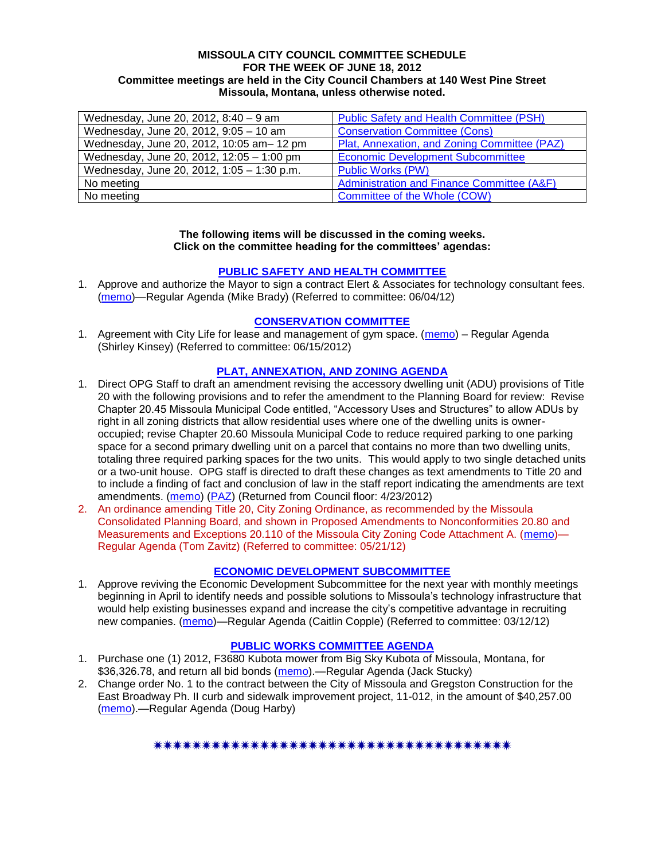### **MISSOULA CITY COUNCIL COMMITTEE SCHEDULE FOR THE WEEK OF JUNE 18, 2012 Committee meetings are held in the City Council Chambers at 140 West Pine Street Missoula, Montana, unless otherwise noted.**

| Wednesday, June 20, 2012, 8:40 - 9 am      | <b>Public Safety and Health Committee (PSH)</b> |
|--------------------------------------------|-------------------------------------------------|
| Wednesday, June 20, 2012, 9:05 - 10 am     | <b>Conservation Committee (Cons)</b>            |
| Wednesday, June 20, 2012, 10:05 am-12 pm   | Plat, Annexation, and Zoning Committee (PAZ)    |
| Wednesday, June 20, 2012, 12:05 - 1:00 pm  | <b>Economic Development Subcommittee</b>        |
| Wednesday, June 20, 2012, 1:05 - 1:30 p.m. | <b>Public Works (PW)</b>                        |
| No meeting                                 | Administration and Finance Committee (A&F)      |
| No meeting                                 | Committee of the Whole (COW)                    |

### **The following items will be discussed in the coming weeks. Click on the committee heading for the committees' agendas:**

### **[PUBLIC SAFETY AND HEALTH COMMITTEE](http://www.ci.missoula.mt.us/DocumentCenterii.aspx?FID=836)**

1. Approve and authorize the Mayor to sign a contract Elert & Associates for technology consultant fees. [\(memo\)](http://www.ci.missoula.mt.us/DocumentCenter/Home/View/19820)—Regular Agenda (Mike Brady) (Referred to committee: 06/04/12)

## **[CONSERVATION COMMITTEE](http://www.ci.missoula.mt.us/DocumentCenterii.aspx?FID=832)**

1. Agreement with City Life for lease and management of gym space. [\(memo\)](http://www.ci.missoula.mt.us/DocumentCenter/Home/View/20217) - Regular Agenda (Shirley Kinsey) (Referred to committee: 06/15/2012)

### **[PLAT, ANNEXATION, AND ZONING AGENDA](http://www.ci.missoula.mt.us/DocumentCenterii.aspx?FID=831)**

- 1. Direct OPG Staff to draft an amendment revising the accessory dwelling unit (ADU) provisions of Title 20 with the following provisions and to refer the amendment to the Planning Board for review: Revise Chapter 20.45 Missoula Municipal Code entitled, "Accessory Uses and Structures" to allow ADUs by right in all zoning districts that allow residential uses where one of the dwelling units is owneroccupied; revise Chapter 20.60 Missoula Municipal Code to reduce required parking to one parking space for a second primary dwelling unit on a parcel that contains no more than two dwelling units, totaling three required parking spaces for the two units. This would apply to two single detached units or a two-unit house. OPG staff is directed to draft these changes as text amendments to Title 20 and to include a finding of fact and conclusion of law in the staff report indicating the amendments are text amendments. [\(memo\)](http://www.ci.missoula.mt.us/DocumentView.aspx?DID=8421) [\(PAZ\)](http://www.ci.missoula.mt.us/Archive.aspx?ADID=5370) (Returned from Council floor: 4/23/2012)
- 2. An ordinance amending Title 20, City Zoning Ordinance, as recommended by the Missoula Consolidated Planning Board, and shown in Proposed Amendments to Nonconformities 20.80 and Measurements and Exceptions 20.110 of the Missoula City Zoning Code Attachment A. [\(memo\)](http://www.ci.missoula.mt.us/DocumentCenter/Home/View/19667)— Regular Agenda (Tom Zavitz) (Referred to committee: 05/21/12)

#### **[ECONOMIC DEVELOPMENT](http://www.ci.missoula.mt.us/DocumentCenterii.aspx?FID=846) SUBCOMMITTEE**

1. Approve reviving the Economic Development Subcommittee for the next year with monthly meetings beginning in April to identify needs and possible solutions to Missoula's technology infrastructure that would help existing businesses expand and increase the city's competitive advantage in recruiting new companies. [\(memo\)](http://www.ci.missoula.mt.us/DocumentView.aspx?DID=8435)—Regular Agenda (Caitlin Copple) (Referred to committee: 03/12/12)

## **[PUBLIC WORKS COMMITTEE AGENDA](http://www.ci.missoula.mt.us/DocumentCenterii.aspx?FID=833)**

- 1. Purchase one (1) 2012, F3680 Kubota mower from Big Sky Kubota of Missoula, Montana, for \$36,326.78, and return all bid bonds [\(memo\)](http://www.ci.missoula.mt.us/DocumentCenter/Home/View/20180).—Regular Agenda (Jack Stucky)
- 2. Change order No. 1 to the contract between the City of Missoula and Gregston Construction for the East Broadway Ph. II curb and sidewalk improvement project, 11-012, in the amount of \$40,257.00 [\(memo\)](http://www.ci.missoula.mt.us/DocumentCenter/Home/View/20184).—Regular Agenda (Doug Harby)

\*\*\*\*\*\*\*\*\*\*\*\*\*\*\*\*\*\*\*\*\*\*\*\*\*\*\*\*\*\*\*\*\*\*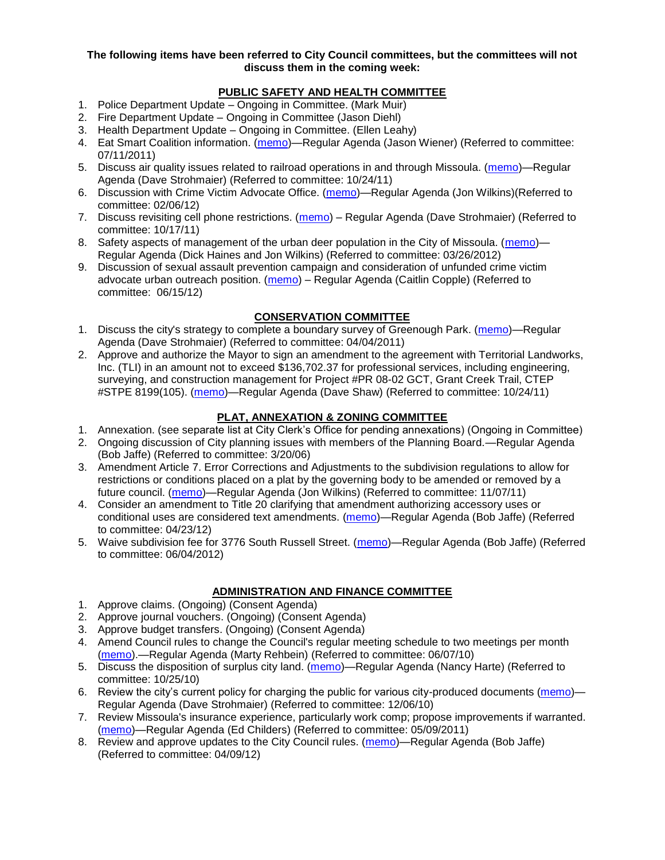### **The following items have been referred to City Council committees, but the committees will not discuss them in the coming week:**

# **PUBLIC SAFETY AND HEALTH COMMITTEE**

- 1. Police Department Update Ongoing in Committee. (Mark Muir)
- 2. Fire Department Update Ongoing in Committee (Jason Diehl)
- 3. Health Department Update Ongoing in Committee. (Ellen Leahy)
- 4. Eat Smart Coalition information. [\(memo\)](http://www.ci.missoula.mt.us/DocumentView.aspx?DID=6776)—Regular Agenda (Jason Wiener) (Referred to committee: 07/11/2011)
- 5. Discuss air quality issues related to railroad operations in and through Missoula. [\(memo\)](http://www.ci.missoula.mt.us/DocumentView.aspx?DID=7495)—Regular Agenda (Dave Strohmaier) (Referred to committee: 10/24/11)
- 6. Discussion with Crime Victim Advocate Office. [\(memo\)](http://www.ci.missoula.mt.us/DocumentView.aspx?DID=8109)—Regular Agenda (Jon Wilkins)(Referred to committee: 02/06/12)
- 7. Discuss revisiting cell phone restrictions. [\(memo\)](http://www.ci.missoula.mt.us/DocumentView.aspx?DID=7420) Regular Agenda (Dave Strohmaier) (Referred to committee: 10/17/11)
- 8. Safety aspects of management of the urban deer population in the City of Missoula. [\(memo\)](http://www.ci.missoula.mt.us/DocumentView.aspx?DID=8528) Regular Agenda (Dick Haines and Jon Wilkins) (Referred to committee: 03/26/2012)
- 9. Discussion of sexual assault prevention campaign and consideration of unfunded crime victim advocate urban outreach position. [\(memo\)](http://www.ci.missoula.mt.us/DocumentCenter/Home/View/20189) – Regular Agenda (Caitlin Copple) (Referred to committee: 06/15/12)

# **CONSERVATION COMMITTEE**

- 1. Discuss the city's strategy to complete a boundary survey of Greenough Park. [\(memo\)](http://www.ci.missoula.mt.us/DocumentView.aspx?DID=5875)—Regular Agenda (Dave Strohmaier) (Referred to committee: 04/04/2011)
- 2. Approve and authorize the Mayor to sign an amendment to the agreement with Territorial Landworks, Inc. (TLI) in an amount not to exceed \$136,702.37 for professional services, including engineering, surveying, and construction management for Project #PR 08-02 GCT, Grant Creek Trail, CTEP #STPE 8199(105). [\(memo\)](http://www.ci.missoula.mt.us/DocumentView.aspx?DID=7494)—Regular Agenda (Dave Shaw) (Referred to committee: 10/24/11)

# **PLAT, ANNEXATION & ZONING COMMITTEE**

- 1. Annexation. (see separate list at City Clerk's Office for pending annexations) (Ongoing in Committee)
- 2. Ongoing discussion of City planning issues with members of the Planning Board.—Regular Agenda (Bob Jaffe) (Referred to committee: 3/20/06)
- 3. Amendment Article 7. Error Corrections and Adjustments to the subdivision regulations to allow for restrictions or conditions placed on a plat by the governing body to be amended or removed by a future council. [\(memo\)](http://www.ci.missoula.mt.us/DocumentView.aspx?DID=7568)—Regular Agenda (Jon Wilkins) (Referred to committee: 11/07/11)
- 4. Consider an amendment to Title 20 clarifying that amendment authorizing accessory uses or conditional uses are considered text amendments. [\(memo\)](http://www.ci.missoula.mt.us/DocumentCenter/Home/View/19059)—Regular Agenda (Bob Jaffe) (Referred to committee: 04/23/12)
- 5. Waive subdivision fee for 3776 South Russell Street. [\(memo\)](http://www.ci.missoula.mt.us/DocumentCenter/Home/View/19827)—Regular Agenda (Bob Jaffe) (Referred to committee: 06/04/2012)

## **ADMINISTRATION AND FINANCE COMMITTEE**

- 1. Approve claims. (Ongoing) (Consent Agenda)
- 2. Approve journal vouchers. (Ongoing) (Consent Agenda)
- 3. Approve budget transfers. (Ongoing) (Consent Agenda)
- 4. Amend Council rules to change the Council's regular meeting schedule to two meetings per month [\(memo\)](http://www.ci.missoula.mt.us/DocumentView.aspx?DID=4027).—Regular Agenda (Marty Rehbein) (Referred to committee: 06/07/10)
- 5. Discuss the disposition of surplus city land. [\(memo\)](http://www.ci.missoula.mt.us/DocumentView.aspx?DID=4862)—Regular Agenda (Nancy Harte) (Referred to committee: 10/25/10)
- 6. Review the city's current policy for charging the public for various city-produced documents [\(memo\)](http://www.ci.missoula.mt.us/DocumentView.aspx?DID=5143) Regular Agenda (Dave Strohmaier) (Referred to committee: 12/06/10)
- 7. Review Missoula's insurance experience, particularly work comp; propose improvements if warranted. [\(memo\)](http://www.ci.missoula.mt.us/DocumentView.aspx?DID=6381)—Regular Agenda (Ed Childers) (Referred to committee: 05/09/2011)
- 8. Review and approve updates to the City Council rules. [\(memo\)](http://www.ci.missoula.mt.us/DocumentCenter/Home/View/18722)—Regular Agenda (Bob Jaffe) (Referred to committee: 04/09/12)